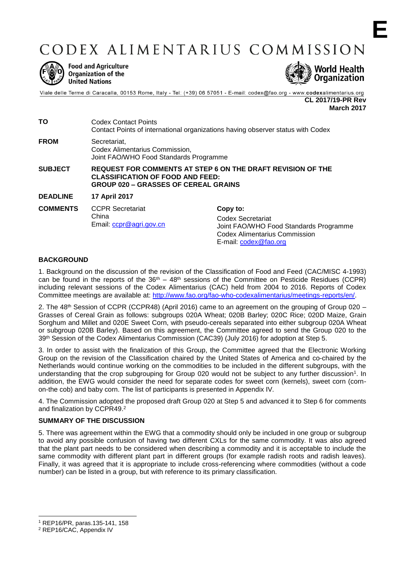CODEX ALIMENTARIUS COMMISSION



**Food and Agriculture** Organization of the **United Nations** 



Viale delle Terme di Caracalla, 00153 Rome, Italy - Tel: (+39) 06 57051 - E-mail: codex@fao.org - www.codexalimentarius.org **CL 2017/19-PR Rev**

**March 2017**

**E**

**TO** Codex Contact Points Contact Points of international organizations having observer status with Codex **FROM** Secretariat, Codex Alimentarius Commission, Joint FAO/WHO Food Standards Programme **SUBJECT REQUEST FOR COMMENTS AT STEP 6 ON THE DRAFT REVISION OF THE CLASSIFICATION OF FOOD AND FEED: GROUP 020 – GRASSES OF CEREAL GRAINS DEADLINE 17 April 2017 COMMENTS** CCPR Secretariat China Email: [ccpr@agri.gov.cn](mailto:ccpr@agri.gov.cn) **Copy to:** Codex Secretariat Joint FAO/WHO Food Standards Programme Codex Alimentarius Commission

## **BACKGROUND**

1. Background on the discussion of the revision of the Classification of Food and Feed (CAC/MISC 4-1993) can be found in the reports of the  $36<sup>th</sup> - 48<sup>th</sup>$  sessions of the Committee on Pesticide Residues (CCPR) including relevant sessions of the Codex Alimentarius (CAC) held from 2004 to 2016. Reports of Codex Committee meetings are available at: [http://www.fao.org/fao-who-codexalimentarius/meetings-reports/en/.](http://www.fao.org/fao-who-codexalimentarius/meetings-reports/en/)

E-mail: [codex@fao.org](mailto:codex@fao.org)

2. The 48<sup>th</sup> Session of CCPR (CCPR48) (April 2016) came to an agreement on the grouping of Group 020 – Grasses of Cereal Grain as follows: subgroups 020A Wheat; 020B Barley; 020C Rice; 020D Maize, Grain Sorghum and Millet and 020E Sweet Corn, with pseudo-cereals separated into either subgroup 020A Wheat or subgroup 020B Barley). Based on this agreement, the Committee agreed to send the Group 020 to the 39<sup>th</sup> Session of the Codex Alimentarius Commission (CAC39) (July 2016) for adoption at Step 5.

3. In order to assist with the finalization of this Group, the Committee agreed that the Electronic Working Group on the revision of the Classification chaired by the United States of America and co-chaired by the Netherlands would continue working on the commodities to be included in the different subgroups, with the understanding that the crop subgrouping for Group 020 would not be subject to any further discussion<sup>1</sup>. In addition, the EWG would consider the need for separate codes for sweet corn (kernels), sweet corn (cornon-the cob) and baby corn. The list of participants is presented in Appendix IV.

4. The Commission adopted the proposed draft Group 020 at Step 5 and advanced it to Step 6 for comments and finalization by CCPR49.<sup>2</sup>

#### **SUMMARY OF THE DISCUSSION**

5. There was agreement within the EWG that a commodity should only be included in one group or subgroup to avoid any possible confusion of having two different CXLs for the same commodity. It was also agreed that the plant part needs to be considered when describing a commodity and it is acceptable to include the same commodity with different plant part in different groups (for example radish roots and radish leaves). Finally, it was agreed that it is appropriate to include cross-referencing where commodities (without a code number) can be listed in a group, but with reference to its primary classification.

-

<sup>1</sup> REP16/PR, paras.135-141, 158

<sup>2</sup> REP16/CAC, Appendix IV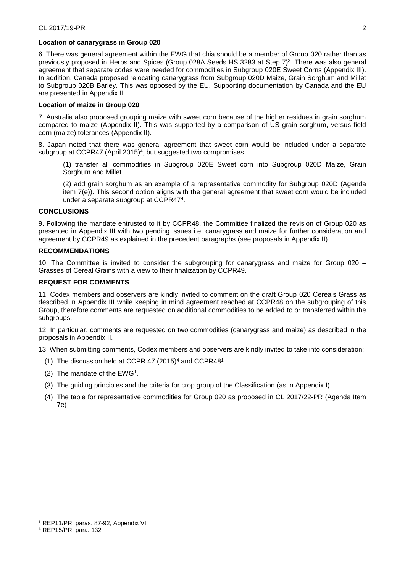#### **Location of canarygrass in Group 020**

6. There was general agreement within the EWG that chia should be a member of Group 020 rather than as previously proposed in Herbs and Spices (Group 028A Seeds HS 3283 at Step 7)<sup>3</sup> . There was also general agreement that separate codes were needed for commodities in Subgroup 020E Sweet Corns (Appendix III). In addition, Canada proposed relocating canarygrass from Subgroup 020D Maize, Grain Sorghum and Millet to Subgroup 020B Barley. This was opposed by the EU. Supporting documentation by Canada and the EU are presented in Appendix II.

#### **Location of maize in Group 020**

7. Australia also proposed grouping maize with sweet corn because of the higher residues in grain sorghum compared to maize (Appendix II). This was supported by a comparison of US grain sorghum, versus field corn (maize) tolerances (Appendix II).

8. Japan noted that there was general agreement that sweet corn would be included under a separate subgroup at CCPR47 (April 2015)<sup>4</sup>, but suggested two compromises

(1) transfer all commodities in Subgroup 020E Sweet corn into Subgroup 020D Maize, Grain Sorghum and Millet

(2) add grain sorghum as an example of a representative commodity for Subgroup 020D (Agenda item 7(e)). This second option aligns with the general agreement that sweet corn would be included under a separate subgroup at CCPR47<sup>4</sup> .

## **CONCLUSIONS**

9. Following the mandate entrusted to it by CCPR48, the Committee finalized the revision of Group 020 as presented in Appendix III with two pending issues i.e. canarygrass and maize for further consideration and agreement by CCPR49 as explained in the precedent paragraphs (see proposals in Appendix II).

#### **RECOMMENDATIONS**

10. The Committee is invited to consider the subgrouping for canarygrass and maize for Group 020 – Grasses of Cereal Grains with a view to their finalization by CCPR49.

#### **REQUEST FOR COMMENTS**

11. Codex members and observers are kindly invited to comment on the draft Group 020 Cereals Grass as described in Appendix III while keeping in mind agreement reached at CCPR48 on the subgrouping of this Group, therefore comments are requested on additional commodities to be added to or transferred within the subgroups.

12. In particular, comments are requested on two commodities (canarygrass and maize) as described in the proposals in Appendix II.

13. When submitting comments, Codex members and observers are kindly invited to take into consideration:

- (1) The discussion held at CCPR 47  $(2015)^4$  and CCPR48<sup>1</sup>.
- (2) The mandate of the EWG<sup>1</sup> .
- (3) The guiding principles and the criteria for crop group of the Classification (as in Appendix I).
- (4) The table for representative commodities for Group 020 as proposed in CL 2017/22-PR (Agenda Item 7e)

-

<sup>3</sup> REP11/PR, paras. 87-92, Appendix VI

<sup>4</sup> REP15/PR, para. 132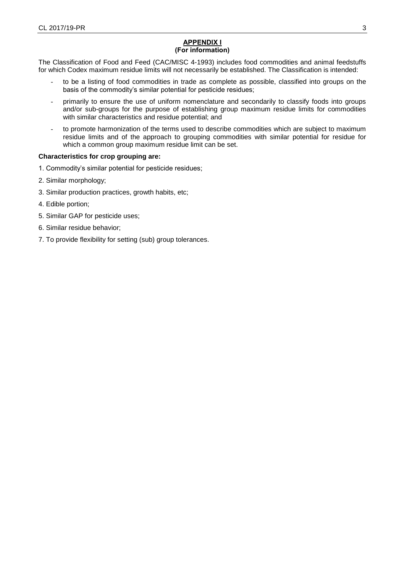## **APPENDIX I (For information)**

The Classification of Food and Feed (CAC/MISC 4-1993) includes food commodities and animal feedstuffs for which Codex maximum residue limits will not necessarily be established. The Classification is intended:

- to be a listing of food commodities in trade as complete as possible, classified into groups on the basis of the commodity's similar potential for pesticide residues;
- primarily to ensure the use of uniform nomenclature and secondarily to classify foods into groups and/or sub-groups for the purpose of establishing group maximum residue limits for commodities with similar characteristics and residue potential; and
- to promote harmonization of the terms used to describe commodities which are subject to maximum residue limits and of the approach to grouping commodities with similar potential for residue for which a common group maximum residue limit can be set.

## **Characteristics for crop grouping are:**

- 1. Commodity's similar potential for pesticide residues;
- 2. Similar morphology;
- 3. Similar production practices, growth habits, etc;
- 4. Edible portion;
- 5. Similar GAP for pesticide uses;
- 6. Similar residue behavior;
- 7. To provide flexibility for setting (sub) group tolerances.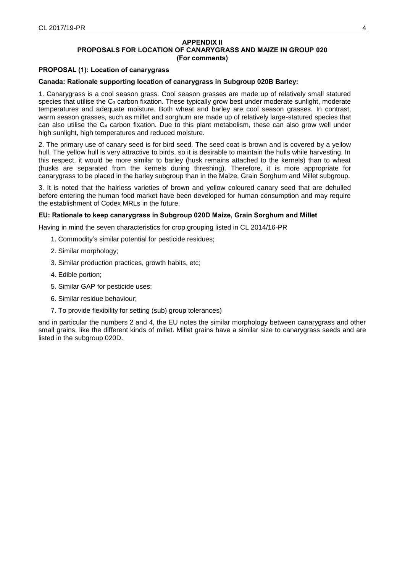#### **APPENDIX II PROPOSALS FOR LOCATION OF CANARYGRASS AND MAIZE IN GROUP 020 (For comments)**

#### **PROPOSAL (1): Location of canarygrass**

#### **Canada: Rationale supporting location of canarygrass in Subgroup 020B Barley:**

1. Canarygrass is a cool season grass. Cool season grasses are made up of relatively small statured species that utilise the  $C_3$  carbon fixation. These typically grow best under moderate sunlight, moderate temperatures and adequate moisture. Both wheat and barley are cool season grasses. In contrast, warm season grasses, such as millet and sorghum are made up of relatively large-statured species that can also utilise the  $C_4$  carbon fixation. Due to this plant metabolism, these can also grow well under high sunlight, high temperatures and reduced moisture.

2. The primary use of canary seed is for bird seed. The seed coat is brown and is covered by a yellow hull. The yellow hull is very attractive to birds, so it is desirable to maintain the hulls while harvesting. In this respect, it would be more similar to barley (husk remains attached to the kernels) than to wheat (husks are separated from the kernels during threshing). Therefore, it is more appropriate for canarygrass to be placed in the barley subgroup than in the Maize, Grain Sorghum and Millet subgroup.

3. It is noted that the hairless varieties of brown and yellow coloured canary seed that are dehulled before entering the human food market have been developed for human consumption and may require the establishment of Codex MRLs in the future.

#### **EU: Rationale to keep canarygrass in Subgroup 020D Maize, Grain Sorghum and Millet**

Having in mind the seven characteristics for crop grouping listed in CL 2014/16-PR

- 1. Commodity's similar potential for pesticide residues;
- 2. Similar morphology;
- 3. Similar production practices, growth habits, etc;
- 4. Edible portion;
- 5. Similar GAP for pesticide uses;
- 6. Similar residue behaviour;
- 7. To provide flexibility for setting (sub) group tolerances)

and in particular the numbers 2 and 4, the EU notes the similar morphology between canarygrass and other small grains, like the different kinds of millet. Millet grains have a similar size to canarygrass seeds and are listed in the subgroup 020D.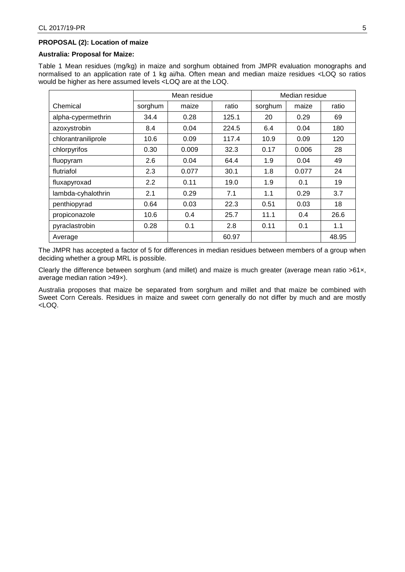## **PROPOSAL (2): Location of maize**

#### **Australia: Proposal for Maize:**

Table 1 Mean residues (mg/kg) in maize and sorghum obtained from JMPR evaluation monographs and normalised to an application rate of 1 kg ai/ha. Often mean and median maize residues <LOQ so ratios would be higher as here assumed levels <LOQ are at the LOQ.

|                     |         | Mean residue |       |         | Median residue |       |
|---------------------|---------|--------------|-------|---------|----------------|-------|
| Chemical            | sorghum | maize        | ratio | sorghum | maize          | ratio |
| alpha-cypermethrin  | 34.4    | 0.28         | 125.1 | 20      | 0.29           | 69    |
| azoxystrobin        | 8.4     | 0.04         | 224.5 | 6.4     | 0.04           | 180   |
| chlorantraniliprole | 10.6    | 0.09         | 117.4 | 10.9    | 0.09           | 120   |
| chlorpyrifos        | 0.30    | 0.009        | 32.3  | 0.17    | 0.006          | 28    |
| fluopyram           | 2.6     | 0.04         | 64.4  | 1.9     | 0.04           | 49    |
| flutriafol          | 2.3     | 0.077        | 30.1  | 1.8     | 0.077          | 24    |
| fluxapyroxad        | 2.2     | 0.11         | 19.0  | 1.9     | 0.1            | 19    |
| lambda-cyhalothrin  | 2.1     | 0.29         | 7.1   | 1.1     | 0.29           | 3.7   |
| penthiopyrad        | 0.64    | 0.03         | 22.3  | 0.51    | 0.03           | 18    |
| propiconazole       | 10.6    | 0.4          | 25.7  | 11.1    | 0.4            | 26.6  |
| pyraclastrobin      | 0.28    | 0.1          | 2.8   | 0.11    | 0.1            | 1.1   |
| Average             |         |              | 60.97 |         |                | 48.95 |

The JMPR has accepted a factor of 5 for differences in median residues between members of a group when deciding whether a group MRL is possible.

Clearly the difference between sorghum (and millet) and maize is much greater (average mean ratio >61×, average median ration >49×).

Australia proposes that maize be separated from sorghum and millet and that maize be combined with Sweet Corn Cereals. Residues in maize and sweet corn generally do not differ by much and are mostly <LOQ.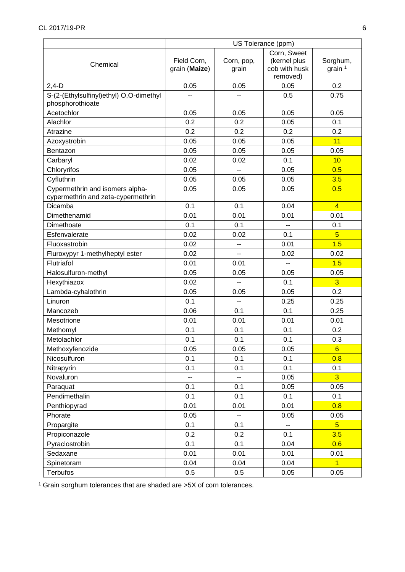|                                                                       | US Tolerance (ppm)           |                     |                                                          |                       |
|-----------------------------------------------------------------------|------------------------------|---------------------|----------------------------------------------------------|-----------------------|
| Chemical                                                              | Field Corn,<br>grain (Maize) | Corn, pop,<br>grain | Corn, Sweet<br>(kernel plus<br>cob with husk<br>removed) | Sorghum,<br>grain $1$ |
| $2,4-D$                                                               | 0.05                         | 0.05                | 0.05                                                     | 0.2                   |
| S-(2-(Ethylsulfinyl)ethyl) O,O-dimethyl<br>phosphorothioate           |                              |                     | 0.5                                                      | 0.75                  |
| Acetochlor                                                            | 0.05                         | 0.05                | 0.05                                                     | 0.05                  |
| Alachlor                                                              | 0.2                          | 0.2                 | 0.05                                                     | 0.1                   |
| Atrazine                                                              | 0.2                          | 0.2                 | 0.2                                                      | 0.2                   |
| Azoxystrobin                                                          | 0.05                         | 0.05                | 0.05                                                     | 11                    |
| Bentazon                                                              | 0.05                         | 0.05                | 0.05                                                     | 0.05                  |
| Carbaryl                                                              | 0.02                         | 0.02                | 0.1                                                      | 10                    |
| Chloryrifos                                                           | 0.05                         | $-$                 | 0.05                                                     | 0.5                   |
| Cyfluthrin                                                            | 0.05                         | 0.05                | 0.05                                                     | 3.5                   |
| Cypermethrin and isomers alpha-<br>cypermethrin and zeta-cypermethrin | 0.05                         | 0.05                | 0.05                                                     | 0.5                   |
| Dicamba                                                               | 0.1                          | 0.1                 | 0.04                                                     | $\overline{4}$        |
| Dimethenamid                                                          | 0.01                         | 0.01                | 0.01                                                     | 0.01                  |
| Dimethoate                                                            | 0.1                          | 0.1                 | $\overline{a}$                                           | 0.1                   |
| Esfenvalerate                                                         | 0.02                         | 0.02                | 0.1                                                      | $\overline{5}$        |
| Fluoxastrobin                                                         | 0.02                         | --                  | 0.01                                                     | 1.5                   |
| Fluroxypyr 1-methylheptyl ester                                       | 0.02                         | $-$                 | 0.02                                                     | 0.02                  |
| Flutriafol                                                            | 0.01                         | 0.01                | $\overline{a}$                                           | 1.5                   |
| Halosulfuron-methyl                                                   | 0.05                         | 0.05                | 0.05                                                     | 0.05                  |
| Hexythiazox                                                           | 0.02                         | --                  | 0.1                                                      | $\overline{3}$        |
| Lambda-cyhalothrin                                                    | 0.05                         | 0.05                | 0.05                                                     | 0.2                   |
| Linuron                                                               | 0.1                          | $-$                 | 0.25                                                     | 0.25                  |
| Mancozeb                                                              | 0.06                         | 0.1                 | 0.1                                                      | 0.25                  |
| Mesotrione                                                            | 0.01                         | 0.01                | 0.01                                                     | 0.01                  |
| Methomyl                                                              | 0.1                          | 0.1                 | 0.1                                                      | 0.2                   |
| Metolachlor                                                           | 0.1                          | 0.1                 | 0.1                                                      | 0.3                   |
| Methoxyfenozide                                                       | 0.05                         | 0.05                | 0.05                                                     | $6\overline{6}$       |
| Nicosulfuron                                                          | 0.1                          | 0.1                 | 0.1                                                      | 0.8                   |
| Nitrapyrin                                                            | 0.1                          | 0.1                 | 0.1                                                      | 0.1                   |
| Novaluron                                                             | --                           | --                  | 0.05                                                     | $\overline{3}$        |
| Paraquat                                                              | 0.1                          | 0.1                 | 0.05                                                     | 0.05                  |
| Pendimethalin                                                         | 0.1                          | 0.1                 | 0.1                                                      | 0.1                   |
| Penthiopyrad                                                          | 0.01                         | 0.01                | 0.01                                                     | 0.8                   |
| Phorate                                                               | 0.05                         | --                  | 0.05                                                     | 0.05                  |
| Propargite                                                            | 0.1                          | 0.1                 | $\overline{\phantom{a}}$                                 | $5\overline{)}$       |
| Propiconazole                                                         | 0.2                          | 0.2                 | 0.1                                                      | 3.5                   |
| Pyraclostrobin                                                        | 0.1                          | 0.1                 | 0.04                                                     | 0.6                   |
| Sedaxane                                                              | 0.01                         | 0.01                | 0.01                                                     | 0.01                  |
| Spinetoram                                                            | 0.04                         | 0.04                | 0.04                                                     | $\overline{1}$        |
| <b>Terbufos</b>                                                       | 0.5                          | 0.5                 | 0.05                                                     | 0.05                  |

<sup>1</sup> Grain sorghum tolerances that are shaded are >5X of corn tolerances.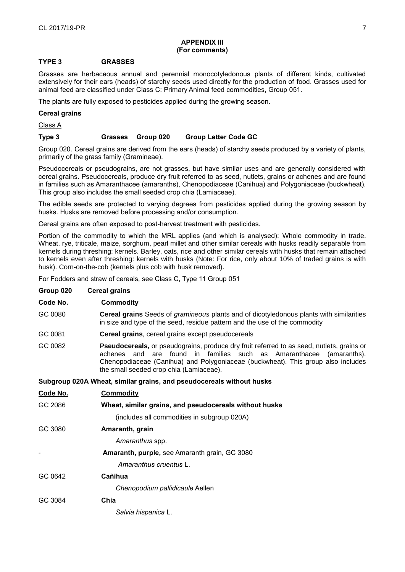#### **APPENDIX III (For comments)**

## **TYPE 3 GRASSES**

Grasses are herbaceous annual and perennial monocotyledonous plants of different kinds, cultivated extensively for their ears (heads) of starchy seeds used directly for the production of food. Grasses used for animal feed are classified under Class C: Primary Animal feed commodities, Group 051.

The plants are fully exposed to pesticides applied during the growing season.

#### **Cereal grains**

Class A

## **Type 3 Grasses Group 020 Group Letter Code GC**

Group 020. Cereal grains are derived from the ears (heads) of starchy seeds produced by a variety of plants, primarily of the grass family (Gramineae).

Pseudocereals or pseudograins, are not grasses, but have similar uses and are generally considered with cereal grains. Pseudocereals, produce dry fruit referred to as seed, nutlets, grains or achenes and are found in families such as Amaranthacee (amaranths), Chenopodiaceae (Canihua) and Polygoniaceae (buckwheat). This group also includes the small seeded crop chia (Lamiaceae).

The edible seeds are protected to varying degrees from pesticides applied during the growing season by husks. Husks are removed before processing and/or consumption.

Cereal grains are often exposed to post-harvest treatment with pesticides.

Portion of the commodity to which the MRL applies (and which is analysed): Whole commodity in trade. Wheat, rye, triticale, maize, sorghum, pearl millet and other similar cereals with husks readily separable from kernels during threshing: kernels. Barley, oats, rice and other similar cereals with husks that remain attached to kernels even after threshing: kernels with husks (Note: For rice, only about 10% of traded grains is with husk). Corn-on-the-cob (kernels plus cob with husk removed).

For Fodders and straw of cereals, see Class C, Type 11 Group 051

## **Group 020 Cereal grains**

| Code No. | Commodity                                                                                                                                                                                                                                                                                                 |  |  |
|----------|-----------------------------------------------------------------------------------------------------------------------------------------------------------------------------------------------------------------------------------------------------------------------------------------------------------|--|--|
| GC 0080  | <b>Cereal grains</b> Seeds of <i>gramineous</i> plants and of dicotyledonous plants with similarities<br>in size and type of the seed, residue pattern and the use of the commodity                                                                                                                       |  |  |
| GC 0081  | <b>Cereal grains, cereal grains except pseudocereals</b>                                                                                                                                                                                                                                                  |  |  |
| GC 0082  | <b>Pseudocereals, or pseudograins, produce dry fruit referred to as seed, nutlets, grains or</b><br>achenes and are found in families such as Amaranthacee<br>(amaranths),<br>Chenopodiaceae (Canihua) and Polygoniaceae (buckwheat). This group also includes<br>the small seeded crop chia (Lamiaceae). |  |  |
|          | Subgroup 020A Wheat, similar grains, and pseudocereals without husks                                                                                                                                                                                                                                      |  |  |
| Code No. | <b>Commodity</b>                                                                                                                                                                                                                                                                                          |  |  |
| GC 2086  | Wheat, similar grains, and pseudocereals without husks                                                                                                                                                                                                                                                    |  |  |
|          | (includes all commodities in subgroup 020A)                                                                                                                                                                                                                                                               |  |  |
| no onon  | Amaranth arain                                                                                                                                                                                                                                                                                            |  |  |

| uouc Juo | Amaranth, grain                               |
|----------|-----------------------------------------------|
|          | Amaranthus spp.                               |
|          | Amaranth, purple, see Amaranth grain, GC 3080 |
|          | Amaranthus cruentus L.                        |
| GC 0642  | Cañihua                                       |
|          | Chenopodium pallidicaule Aellen               |
| GC 3084  | Chia                                          |
|          |                                               |

*Salvia hispanica* L.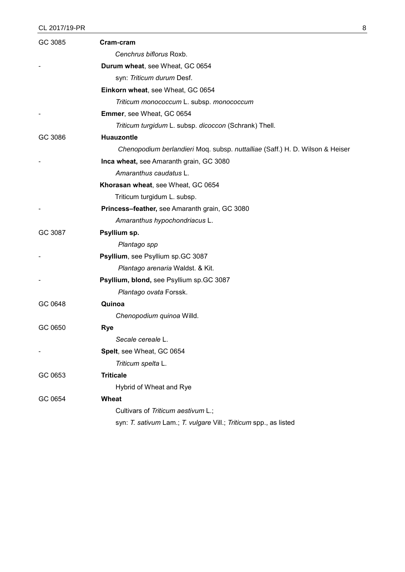# CL 2017/19-PR 8

| GC 3085 | Cram-cram                                                                    |
|---------|------------------------------------------------------------------------------|
|         | Cenchrus biflorus Roxb.                                                      |
|         | Durum wheat, see Wheat, GC 0654                                              |
|         | syn: Triticum durum Desf.                                                    |
|         | Einkorn wheat, see Wheat, GC 0654                                            |
|         | Triticum monococcum L. subsp. monococcum                                     |
|         | Emmer, see Wheat, GC 0654                                                    |
|         | Triticum turgidum L. subsp. dicoccon (Schrank) Thell.                        |
| GC 3086 | <b>Huauzontle</b>                                                            |
|         | Chenopodium berlandieri Moq. subsp. nuttalliae (Saff.) H. D. Wilson & Heiser |
|         | Inca wheat, see Amaranth grain, GC 3080                                      |
|         | Amaranthus caudatus L.                                                       |
|         | Khorasan wheat, see Wheat, GC 0654                                           |
|         | Triticum turgidum L. subsp.                                                  |
|         | Princess-feather, see Amaranth grain, GC 3080                                |
|         | Amaranthus hypochondriacus L.                                                |
| GC 3087 | Psyllium sp.                                                                 |
|         | Plantago spp                                                                 |
|         | Psyllium, see Psyllium sp.GC 3087                                            |
|         | Plantago arenaria Waldst. & Kit.                                             |
|         | Psyllium, blond, see Psyllium sp.GC 3087                                     |
|         | Plantago ovata Forssk.                                                       |
| GC 0648 | Quinoa                                                                       |
|         | Chenopodium quinoa Willd.                                                    |
| GC 0650 | <b>Rye</b>                                                                   |
|         | Secale cereale L                                                             |
|         | Spelt, see Wheat, GC 0654                                                    |
|         | Triticum spelta L.                                                           |
| GC 0653 | <b>Triticale</b>                                                             |
|         | Hybrid of Wheat and Rye                                                      |
| GC 0654 | Wheat                                                                        |
|         | Cultivars of Triticum aestivum L.;                                           |
|         | syn: T. sativum Lam.; T. vulgare Vill.; Triticum spp., as listed             |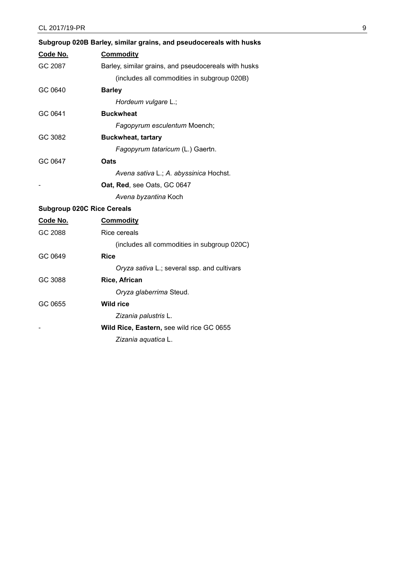|                                   | Subgroup 020B Barley, similar grains, and pseudocereals with husks |
|-----------------------------------|--------------------------------------------------------------------|
| Code No.                          | <b>Commodity</b>                                                   |
| GC 2087                           | Barley, similar grains, and pseudocereals with husks               |
|                                   | (includes all commodities in subgroup 020B)                        |
| GC 0640                           | <b>Barley</b>                                                      |
|                                   | Hordeum vulgare L.;                                                |
| GC 0641                           | <b>Buckwheat</b>                                                   |
|                                   | Fagopyrum esculentum Moench;                                       |
| GC 3082                           | <b>Buckwheat, tartary</b>                                          |
|                                   | Fagopyrum tataricum (L.) Gaertn.                                   |
| GC 0647                           | Oats                                                               |
|                                   | Avena sativa L.; A. abyssinica Hochst.                             |
|                                   | Oat, Red, see Oats, GC 0647                                        |
|                                   | Avena byzantina Koch                                               |
| <b>Subgroup 020C Rice Cereals</b> |                                                                    |
| Code No.                          | <b>Commodity</b>                                                   |
| GC 2088                           | Rice cereals                                                       |
|                                   | (includes all commodities in subgroup 020C)                        |
| GC 0649                           | <b>Rice</b>                                                        |
|                                   | Oryza sativa L.; several ssp. and cultivars                        |
| GC 3088                           | Rice, African                                                      |
|                                   | Oryza glaberrima Steud.                                            |
| GC 0655                           | <b>Wild rice</b>                                                   |
|                                   | Zizania palustris L.                                               |
|                                   | Wild Rice, Eastern, see wild rice GC 0655                          |

*Zizania aquatica* L.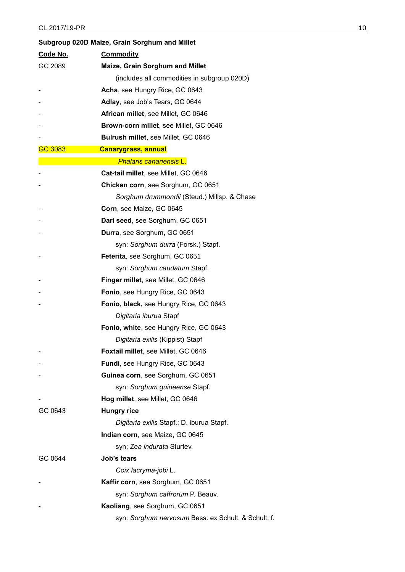|          | Subgroup 020D Maize, Grain Sorghum and Millet       |  |  |
|----------|-----------------------------------------------------|--|--|
| Code No. | <b>Commodity</b>                                    |  |  |
| GC 2089  | Maize, Grain Sorghum and Millet                     |  |  |
|          | (includes all commodities in subgroup 020D)         |  |  |
|          | Acha, see Hungry Rice, GC 0643                      |  |  |
|          | Adlay, see Job's Tears, GC 0644                     |  |  |
|          | African millet, see Millet, GC 0646                 |  |  |
|          | Brown-corn millet, see Millet, GC 0646              |  |  |
|          | Bulrush millet, see Millet, GC 0646                 |  |  |
| GC 3083  | <b>Canarygrass, annual</b>                          |  |  |
|          | <b>Phalaris canariensis L.</b>                      |  |  |
|          | Cat-tail millet, see Millet, GC 0646                |  |  |
|          | Chicken corn, see Sorghum, GC 0651                  |  |  |
|          | Sorghum drummondii (Steud.) Millsp. & Chase         |  |  |
|          | Corn, see Maize, GC 0645                            |  |  |
|          | Dari seed, see Sorghum, GC 0651                     |  |  |
|          | Durra, see Sorghum, GC 0651                         |  |  |
|          | syn: Sorghum durra (Forsk.) Stapf.                  |  |  |
|          | Feterita, see Sorghum, GC 0651                      |  |  |
|          | syn: Sorghum caudatum Stapf.                        |  |  |
|          | Finger millet, see Millet, GC 0646                  |  |  |
|          | Fonio, see Hungry Rice, GC 0643                     |  |  |
|          | Fonio, black, see Hungry Rice, GC 0643              |  |  |
|          | Digitaria iburua Stapf                              |  |  |
|          | Fonio, white, see Hungry Rice, GC 0643              |  |  |
|          | Digitaria exilis (Kippist) Stapf                    |  |  |
|          | Foxtail millet, see Millet, GC 0646                 |  |  |
|          | Fundi, see Hungry Rice, GC 0643                     |  |  |
|          | Guinea corn, see Sorghum, GC 0651                   |  |  |
|          | syn: Sorghum guineense Stapf.                       |  |  |
|          | Hog millet, see Millet, GC 0646                     |  |  |
| GC 0643  | <b>Hungry rice</b>                                  |  |  |
|          | Digitaria exilis Stapf.; D. iburua Stapf.           |  |  |
|          | Indian corn, see Maize, GC 0645                     |  |  |
|          | syn: Zea indurata Sturtev.                          |  |  |
| GC 0644  | Job's tears                                         |  |  |
|          | Coix lacryma-jobi L.                                |  |  |
|          | Kaffir corn, see Sorghum, GC 0651                   |  |  |
|          | syn: Sorghum caffrorum P. Beauv.                    |  |  |
|          | Kaoliang, see Sorghum, GC 0651                      |  |  |
|          | syn: Sorghum nervosum Bess. ex Schult. & Schult. f. |  |  |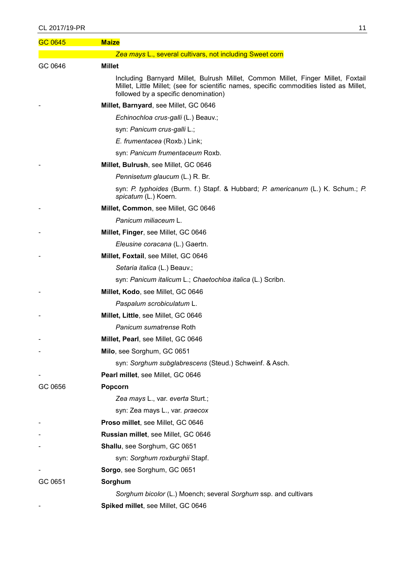## CL 2017/19-PR 11

| GC 0645 | <b>Maize</b>                                                                                                                                                                                                         |
|---------|----------------------------------------------------------------------------------------------------------------------------------------------------------------------------------------------------------------------|
|         | Zea mays L., several cultivars, not including Sweet corn                                                                                                                                                             |
| GC 0646 | <b>Millet</b>                                                                                                                                                                                                        |
|         | Including Barnyard Millet, Bulrush Millet, Common Millet, Finger Millet, Foxtail<br>Millet, Little Millet; (see for scientific names, specific commodities listed as Millet,<br>followed by a specific denomination) |
|         | Millet, Barnyard, see Millet, GC 0646                                                                                                                                                                                |
|         | Echinochloa crus-galli (L.) Beauv.;                                                                                                                                                                                  |
|         | syn: Panicum crus-galli L.;                                                                                                                                                                                          |
|         | E. frumentacea (Roxb.) Link;                                                                                                                                                                                         |
|         | syn: Panicum frumentaceum Roxb.                                                                                                                                                                                      |
|         | Millet, Bulrush, see Millet, GC 0646                                                                                                                                                                                 |
|         | Pennisetum glaucum (L.) R. Br.                                                                                                                                                                                       |
|         | syn: P. typhoides (Burm. f.) Stapf. & Hubbard; P. americanum (L.) K. Schum.; P.<br>spicatum (L.) Koern.                                                                                                              |
|         | Millet, Common, see Millet, GC 0646                                                                                                                                                                                  |
|         | Panicum miliaceum L.                                                                                                                                                                                                 |
|         | Millet, Finger, see Millet, GC 0646                                                                                                                                                                                  |
|         | Eleusine coracana (L.) Gaertn.                                                                                                                                                                                       |
|         | Millet, Foxtail, see Millet, GC 0646                                                                                                                                                                                 |
|         | Setaria italica (L.) Beauv.;                                                                                                                                                                                         |
|         | syn: Panicum italicum L.; Chaetochloa italica (L.) Scribn.                                                                                                                                                           |
|         | Millet, Kodo, see Millet, GC 0646                                                                                                                                                                                    |
|         | Paspalum scrobiculatum L.                                                                                                                                                                                            |
|         | Millet, Little, see Millet, GC 0646                                                                                                                                                                                  |
|         | <i>Panicum sumatrense</i> Roth                                                                                                                                                                                       |
|         | Millet, Pearl, see Millet, GC 0646                                                                                                                                                                                   |
|         | Milo, see Sorghum, GC 0651                                                                                                                                                                                           |
|         | syn: Sorghum subglabrescens (Steud.) Schweinf. & Asch.                                                                                                                                                               |
|         | Pearl millet, see Millet, GC 0646                                                                                                                                                                                    |
| GC 0656 | Popcorn                                                                                                                                                                                                              |
|         | Zea mays L., var. everta Sturt.;                                                                                                                                                                                     |
|         | syn: Zea mays L., var. praecox                                                                                                                                                                                       |
|         | Proso millet, see Millet, GC 0646                                                                                                                                                                                    |
|         | Russian millet, see Millet, GC 0646                                                                                                                                                                                  |
|         | Shallu, see Sorghum, GC 0651                                                                                                                                                                                         |
|         | syn: Sorghum roxburghii Stapf.                                                                                                                                                                                       |
|         | Sorgo, see Sorghum, GC 0651                                                                                                                                                                                          |
| GC 0651 | Sorghum                                                                                                                                                                                                              |
|         | Sorghum bicolor (L.) Moench; several Sorghum ssp. and cultivars                                                                                                                                                      |
|         | Spiked millet, see Millet, GC 0646                                                                                                                                                                                   |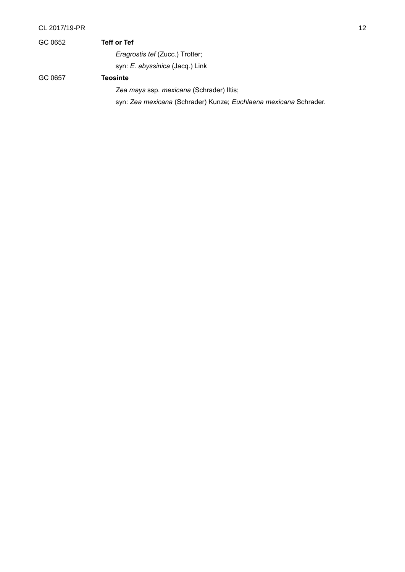| GC 0652 | <b>Teff or Tef</b>                                               |
|---------|------------------------------------------------------------------|
|         | <i>Eragrostis tef (Zucc.) Trotter;</i>                           |
|         | syn: E. abyssinica (Jacq.) Link                                  |
| GC 0657 | <b>Teosinte</b>                                                  |
|         | Zea mays ssp. mexicana (Schrader) Iltis;                         |
|         | syn: Zea mexicana (Schrader) Kunze; Euchlaena mexicana Schrader. |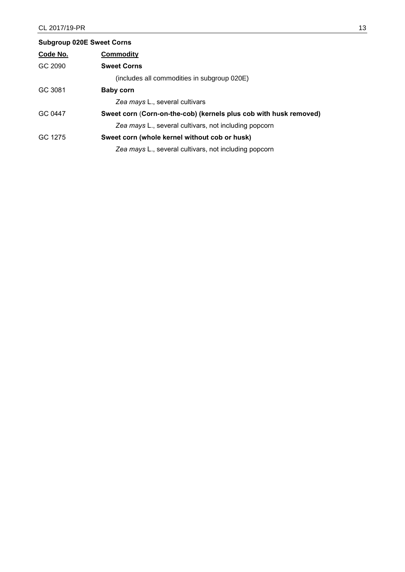| <b>Subgroup 020E Sweet Corns</b> |                                                                   |
|----------------------------------|-------------------------------------------------------------------|
| Code No.                         | <b>Commodity</b>                                                  |
| GC 2090                          | <b>Sweet Corns</b>                                                |
|                                  | (includes all commodities in subgroup 020E)                       |
| GC 3081                          | <b>Baby corn</b>                                                  |
|                                  | Zea mays L., several cultivars                                    |
| GC 0447                          | Sweet corn (Corn-on-the-cob) (kernels plus cob with husk removed) |
|                                  | Zea mays L., several cultivars, not including popcorn             |
| GC 1275                          | Sweet corn (whole kernel without cob or husk)                     |
|                                  | Zea mays L., several cultivars, not including popcorn             |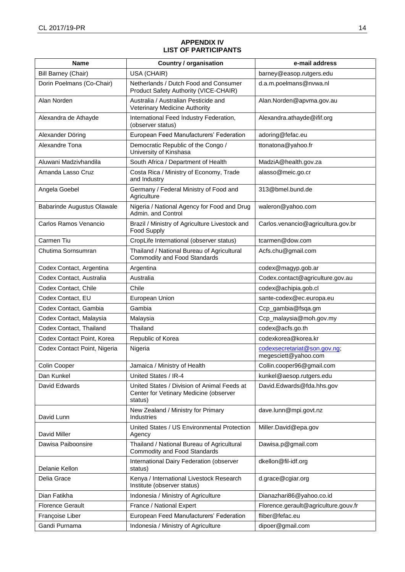## **APPENDIX IV LIST OF PARTICIPANTS**

| <b>Name</b>                  | <b>Country / organisation</b>                                                                    | e-mail address                                       |
|------------------------------|--------------------------------------------------------------------------------------------------|------------------------------------------------------|
| Bill Barney (Chair)          | USA (CHAIR)                                                                                      | barney@easop.rutgers.edu                             |
| Dorin Poelmans (Co-Chair)    | Netherlands / Dutch Food and Consumer<br>Product Safety Authority (VICE-CHAIR)                   | d.a.m.poelmans@nvwa.nl                               |
| Alan Norden                  | Australia / Australian Pesticide and<br>Veterinary Medicine Authority                            | Alan.Norden@apvma.gov.au                             |
| Alexandra de Athayde         | International Feed Industry Federation,<br>(observer status)                                     | Alexandra.athayde@ifif.org                           |
| Alexander Döring             | European Feed Manufacturers' Federation                                                          | adoring@fefac.eu                                     |
| Alexandre Tona               | Democratic Republic of the Congo /<br>University of Kinshasa                                     | ttonatona@yahoo.fr                                   |
| Aluwani Madzivhandila        | South Africa / Department of Health                                                              | MadziA@health.gov.za                                 |
| Amanda Lasso Cruz            | Costa Rica / Ministry of Economy, Trade<br>and Industry                                          | alasso@meic.go.cr                                    |
| Angela Goebel                | Germany / Federal Ministry of Food and<br>Agriculture                                            | 313@bmel.bund.de                                     |
| Babarinde Augustus Olawale   | Nigeria / National Agency for Food and Drug<br>Admin. and Control                                | waleron@yahoo.com                                    |
| Carlos Ramos Venancio        | Brazil / Ministry of Agriculture Livestock and<br><b>Food Supply</b>                             | Carlos.venancio@agricultura.gov.br                   |
| Carmen Tiu                   | CropLife International (observer status)                                                         | tcarmen@dow.com                                      |
| Chutima Sornsumran           | Thailand / National Bureau of Agricultural<br><b>Commodity and Food Standards</b>                | Acfs.chu@gmail.com                                   |
| Codex Contact, Argentina     | Argentina                                                                                        | codex@magyp.gob.ar                                   |
| Codex Contact, Australia     | Australia                                                                                        | Codex.contact@agriculture.gov.au                     |
| Codex Contact, Chile         | Chile                                                                                            | codex@achipia.gob.cl                                 |
| Codex Contact, EU            | European Union                                                                                   | sante-codex@ec.europa.eu                             |
| Codex Contact, Gambia        | Gambia                                                                                           | Ccp_gambia@fsqa.gm                                   |
| Codex Contact, Malaysia      | Malaysia                                                                                         | Ccp_malaysia@moh.gov.my                              |
| Codex Contact, Thailand      | Thailand                                                                                         | codex@acfs.go.th                                     |
| Codex Contact Point, Korea   | Republic of Korea                                                                                | codexkorea@korea.kr                                  |
| Codex Contact Point, Nigeria | Nigeria                                                                                          | codexsecretariat@son.gov.ng;<br>megesciett@yahoo.com |
| Colin Cooper                 | Jamaica / Ministry of Health                                                                     | Collin.cooper96@gmail.com                            |
| Dan Kunkel                   | United States / IR-4                                                                             | kunkel@aesop.rutgers.edu                             |
| David Edwards                | United States / Division of Animal Feeds at<br>Center for Vetinary Medicine (observer<br>status) | David.Edwards@fda.hhs.gov                            |
| David Lunn                   | New Zealand / Ministry for Primary<br>Industries                                                 | dave.lunn@mpi.govt.nz                                |
| David Miller                 | United States / US Environmental Protection<br>Agency                                            | Miller.David@epa.gov                                 |
| Dawisa Paiboonsire           | Thailand / National Bureau of Agricultural<br>Commodity and Food Standards                       | Dawisa.p@gmail.com                                   |
| Delanie Kellon               | International Dairy Federation (observer<br>status)                                              | dkellon@fil-idf.org                                  |
| Delia Grace                  | Kenya / International Livestock Research<br>Institute (observer status)                          | d.grace@cgiar.org                                    |
| Dian Fatikha                 | Indonesia / Ministry of Agriculture                                                              | Dianazhari86@yahoo.co.id                             |
| <b>Florence Gerault</b>      | France / National Expert                                                                         | Florence.gerault@agriculture.gouv.fr                 |
| Françoise Liber              | European Feed Manufacturers' Federation                                                          | fliber@fefac.eu                                      |
| Gandi Purnama                | Indonesia / Ministry of Agriculture                                                              | dipoer@gmail.com                                     |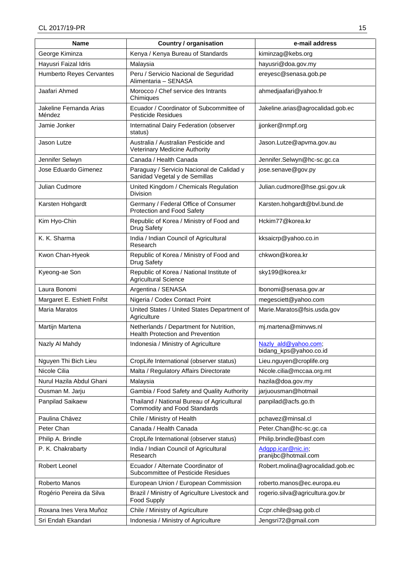| <b>Name</b>                       | <b>Country / organisation</b>                                               | e-mail address                                 |
|-----------------------------------|-----------------------------------------------------------------------------|------------------------------------------------|
| George Kiminza                    | Kenya / Kenya Bureau of Standards                                           | kiminzag@kebs.org                              |
| Hayusri Faizal Idris              | Malaysia                                                                    | hayusri@doa.gov.my                             |
| Humberto Reyes Cervantes          | Peru / Servicio Nacional de Seguridad<br>Alimentaria - SENASA               | ereyesc@senasa.gob.pe                          |
| Jaafari Ahmed                     | Morocco / Chef service des Intrants<br>Chimiques                            | ahmedjaafari@yahoo.fr                          |
| Jakeline Fernanda Arias<br>Méndez | Ecuador / Coordinator of Subcommittee of<br><b>Pesticide Residues</b>       | Jakeline.arias@agrocalidad.gob.ec              |
| Jamie Jonker                      | Internatinal Dairy Federation (observer<br>status)                          | jjonker@nmpf.org                               |
| Jason Lutze                       | Australia / Australian Pesticide and<br>Veterinary Medicine Authority       | Jason.Lutze@apvma.gov.au                       |
| Jennifer Selwyn                   | Canada / Health Canada                                                      | Jennifer.Selwyn@hc-sc.gc.ca                    |
| Jose Eduardo Gimenez              | Paraguay / Servicio Nacional de Calidad y<br>Sanidad Vegetal y de Semillas  | jose.senave@gov.py                             |
| Julian Cudmore                    | United Kingdom / Chemicals Regulation<br><b>Division</b>                    | Julian.cudmore@hse.gsi.gov.uk                  |
| Karsten Hohgardt                  | Germany / Federal Office of Consumer<br>Protection and Food Safety          | Karsten.hohgardt@bvl.bund.de                   |
| Kim Hyo-Chin                      | Republic of Korea / Ministry of Food and<br>Drug Safety                     | Hckim77@korea.kr                               |
| K. K. Sharma                      | India / Indian Council of Agricultural<br>Research                          | kksaicrp@yahoo.co.in                           |
| Kwon Chan-Hyeok                   | Republic of Korea / Ministry of Food and<br><b>Drug Safety</b>              | chkwon@korea.kr                                |
| Kyeong-ae Son                     | Republic of Korea / National Institute of<br><b>Agricultural Science</b>    | sky199@korea.kr                                |
| Laura Bonomi                      | Argentina / SENASA                                                          | lbonomi@senasa.gov.ar                          |
| Margaret E. Eshiett Fnifst        | Nigeria / Codex Contact Point                                               | megesciett@yahoo.com                           |
| Maria Maratos                     | United States / United States Department of<br>Agriculture                  | Marie.Maratos@fsis.usda.gov                    |
| Martijn Martena                   | Netherlands / Department for Nutrition,<br>Health Protection and Prevention | mj.martena@minvws.nl                           |
| Nazly Al Mahdy                    | Indonesia / Ministry of Agriculture                                         | Nazly ald@yahoo.com;<br>bidang_kps@yahoo.co.id |
| Nguyen Thi Bich Lieu              | CropLife International (observer status)                                    | Lieu.nguyen@croplife.org                       |
| Nicole Cilia                      | Malta / Regulatory Affairs Directorate                                      | Nicole.cilia@mccaa.org.mt                      |
| Nurul Hazila Abdul Ghani          | Malaysia                                                                    | hazila@doa.gov.my                              |
| Ousman M. Jarju                   | Gambia / Food Safety and Quality Authority                                  | jarjuousman@hotmail                            |
| Panpilad Saikaew                  | Thailand / National Bureau of Agricultural<br>Commodity and Food Standards  | panpilad@acfs.go.th                            |
| Paulina Chávez                    | Chile / Ministry of Health                                                  | pchavez@minsal.cl                              |
| Peter Chan                        | Canada / Health Canada                                                      | Peter.Chan@hc-sc.gc.ca                         |
| Philip A. Brindle                 | CropLife International (observer status)                                    | Philip.brindle@basf.com                        |
| P. K. Chakrabarty                 | India / Indian Council of Agricultural<br>Research                          | Adgpp.icar@nic.in;<br>pranijbc@hotmail.com     |
| Robert Leonel                     | Ecuador / Alternate Coordinator of<br>Subcommittee of Pesticide Residues    | Robert.molina@agrocalidad.gob.ec               |
| Roberto Manos                     | European Union / European Commission                                        | roberto.manos@ec.europa.eu                     |
| Rogério Pereira da Silva          | Brazil / Ministry of Agriculture Livestock and<br>Food Supply               | rogerio.silva@agricultura.gov.br               |
| Roxana Ines Vera Muñoz            | Chile / Ministry of Agriculture                                             | Ccpr.chile@sag.gob.cl                          |
| Sri Endah Ekandari                | Indonesia / Ministry of Agriculture                                         | Jengsri72@gmail.com                            |